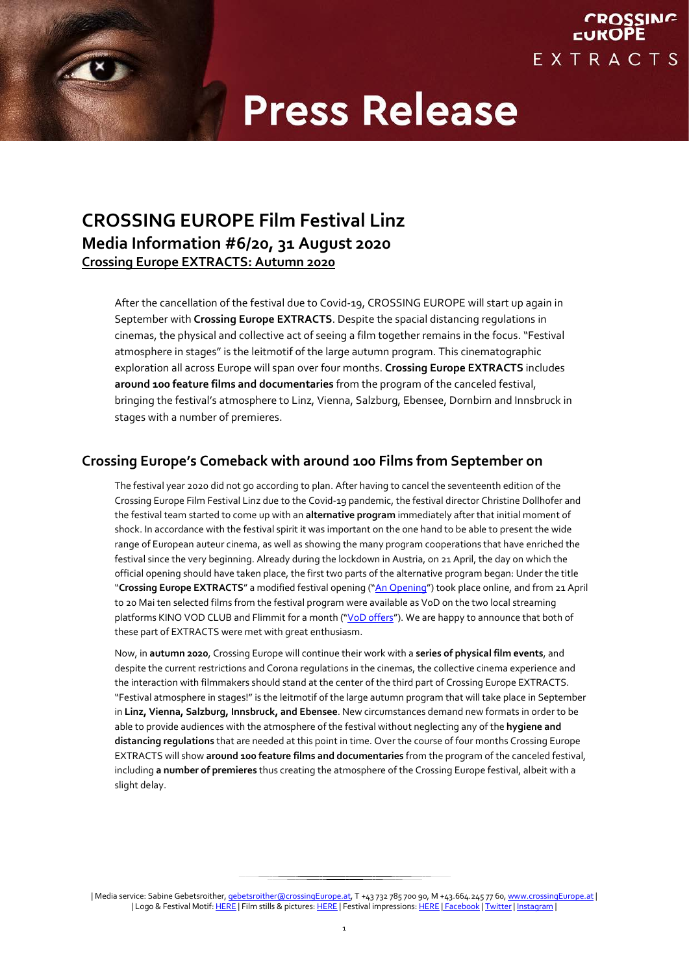**CROSSING** 

EXTRACTS

## **CROSSING EUROPE Film Festival Linz Media Information #6/20, 31 August 2020 Crossing Europe EXTRACTS: Autumn 2020**

After the cancellation of the festival due to Covid-19, CROSSING EUROPE will start up again in September with **Crossing Europe EXTRACTS**. Despite the spacial distancing regulations in cinemas, the physical and collective act of seeing a film together remains in the focus. "Festival atmosphere in stages" is the leitmotif of the large autumn program. This cinematographic exploration all across Europe will span over four months. **Crossing Europe EXTRACTS** includes **around 100 feature films and documentaries** from the program of the canceled festival, bringing the festival's atmosphere to Linz, Vienna, Salzburg, Ebensee, Dornbirn and Innsbruck in stages with a number of premieres.

### **Crossing Europe's Comeback with around 100 Films from September on**

The festival year 2020 did not go according to plan. After having to cancel the seventeenth edition of the Crossing Europe Film Festival Linz due to the Covid-19 pandemic, the festival director Christine Dollhofer and the festival team started to come up with an **alternative program** immediately after that initial moment of shock. In accordance with the festival spirit it was important on the one hand to be able to present the wide range of European auteur cinema, as well as showing the many program cooperations that have enriched the festival since the very beginning. Already during the lockdown in Austria, on 21 April, the day on which the official opening should have taken place, the first two parts of the alternative program began: Under the title "**Crossing Europe EXTRACTS**" a modified festival opening (["An Opening"](https://www.crossingeurope.at/en/festival/photos-videos/crossing-europe-extracts-an-opening.html)) took place online, and from 21 April to 20 Mai ten selected films from the festival program were available as VoD on the two local streaming platforms KINO VOD CLUB and Flimmit for a month (["VoD offers"](https://www.crossingeurope.at/en/program/crossing-europe-extracts/extracts-on-vod.html)). We are happy to announce that both of these part of EXTRACTS were met with great enthusiasm.

Now, in **autumn 2020**, Crossing Europe will continue their work with a **series of physical film events**, and despite the current restrictions and Corona regulations in the cinemas, the collective cinema experience and the interaction with filmmakers should stand at the center of the third part of Crossing Europe EXTRACTS. "Festival atmosphere in stages!" is the leitmotif of the large autumn program that will take place in September in **Linz, Vienna, Salzburg, Innsbruck, and Ebensee**. New circumstances demand new formats in order to be able to provide audiences with the atmosphere of the festival without neglecting any of the **hygiene and distancing regulations** that are needed at this point in time. Over the course of four months Crossing Europe EXTRACTS will show **around 100 feature films and documentaries** from the program of the canceled festival, including **a number of premieres** thus creating the atmosphere of the Crossing Europe festival, albeit with a slight delay.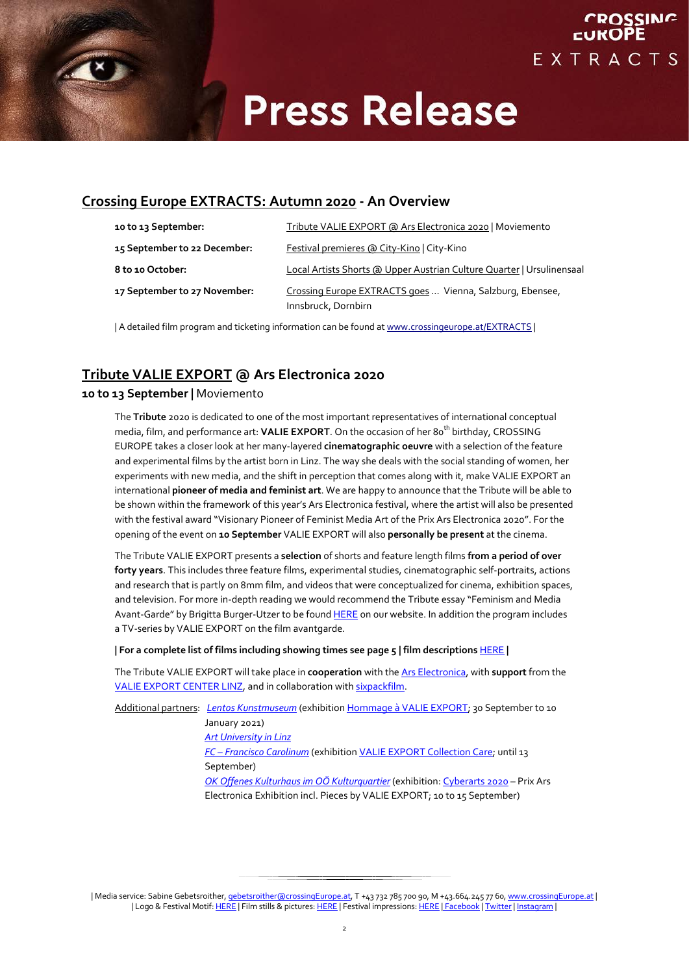

### **Crossing Europe EXTRACTS: Autumn 2020 - An Overview**

| 10 to 13 September:          | Tribute VALIE EXPORT @ Ars Electronica 2020   Moviemento                         |
|------------------------------|----------------------------------------------------------------------------------|
| 15 September to 22 December: | Festival premieres @ City-Kino   City-Kino                                       |
| 8 to 10 October:             | Local Artists Shorts @ Upper Austrian Culture Quarter   Ursulinensaal            |
| 17 September to 27 November: | Crossing Europe EXTRACTS goes  Vienna, Salzburg, Ebensee,<br>Innsbruck, Dornbirn |

| A detailed film program and ticketing information can be found a[t www.crossingeurope.at/EXTRACTS](http://www.crossingeurope.at/EXTRACTS) |

## **Tribute VALIE EXPORT @ Ars Electronica 2020**

#### **10 to 13 September |** Moviemento

The **Tribute** 2020 is dedicated to one of the most important representatives of international conceptual media, film, and performance art: **VALIE EXPORT**. On the occasion of her 80<sup>th</sup> birthday, CROSSING EUROPE takes a closer look at her many-layered **cinematographic oeuvre** with a selection of the feature and experimental films by the artist born in Linz. The way she deals with the social standing of women, her experiments with new media, and the shift in perception that comes along with it, make VALIE EXPORT an international **pioneer of media and feminist art**. We are happy to announce that the Tribute will be able to be shown within the framework of this year's Ars Electronica festival, where the artist will also be presented with the festival award "Visionary Pioneer of Feminist Media Art of the Prix Ars Electronica 2020". For the opening of the event on **10 September** VALIE EXPORT will also **personally be present** at the cinema.

The Tribute VALIE EXPORT presents a **selection** of shorts and feature length films **from a period of over forty years**. This includes three feature films, experimental studies, cinematographic self-portraits, actions and research that is partly on 8mm film, and videos that were conceptualized for cinema, exhibition spaces, and television. For more in-depth reading we would recommend the Tribute essay "Feminism and Media Avant-Garde" by Brigitta Burger-Utzer to be foun[d HERE](https://www.crossingeurope.at/en/program/program-sections/tribute.html) on our website. In addition the program includes a TV-series by VALIE EXPORT on the film avantgarde.

#### **| For a complete list of films including showing times see page 5 | film descriptions** [HERE](https://www.crossingeurope.at/uploads/media/pressetexte/CE_2020/CE20-EX-Tribute-VALIE-EXPORT_Filmbeschreibungen.pdf) **|**

The Tribute VALIE EXPORT will take place in **cooperation** with th[e Ars Electronica,](https://ars.electronica.art/news/) with **support** from the [VALIE EXPORT CENTER LINZ,](https://www.valieexportcenter.at/) and in collaboration with [sixpackfilm.](http://www.sixpackfilm.com/)

Additional partners: *[Lentos Kunstmuseum](http://www.lentos.at/)* (exhibitio[n Hommage à VALIE EXPORT;](https://www.lentos.at/html/de/6115.aspx) 30 September to 10 January 2021) *[Art University in Linz](http://www.ufg.at/) FC – [Francisco Carolinum](https://www.ooemuseen.at/museum/239-fc-francisco-carolinum)* (exhibitio[n VALIE EXPORT Collection Care;](https://www.ooemuseen.at/museen-in-ooe/veranstaltungen/3639-valie-export-collection-care-fc-francisco-carolinum) until 13 September) *[OK Offenes Kulturhaus im OÖ Kulturquartier](https://www.ok-centrum.at/de/programm/)* (exhibition[: Cyberarts 2020](https://www.ooelkg.at/de/ausstellungen/detail/cyberarts-2020.html) – Prix Ars Electronica Exhibition incl. Pieces by VALIE EXPORT; 10 to 15 September)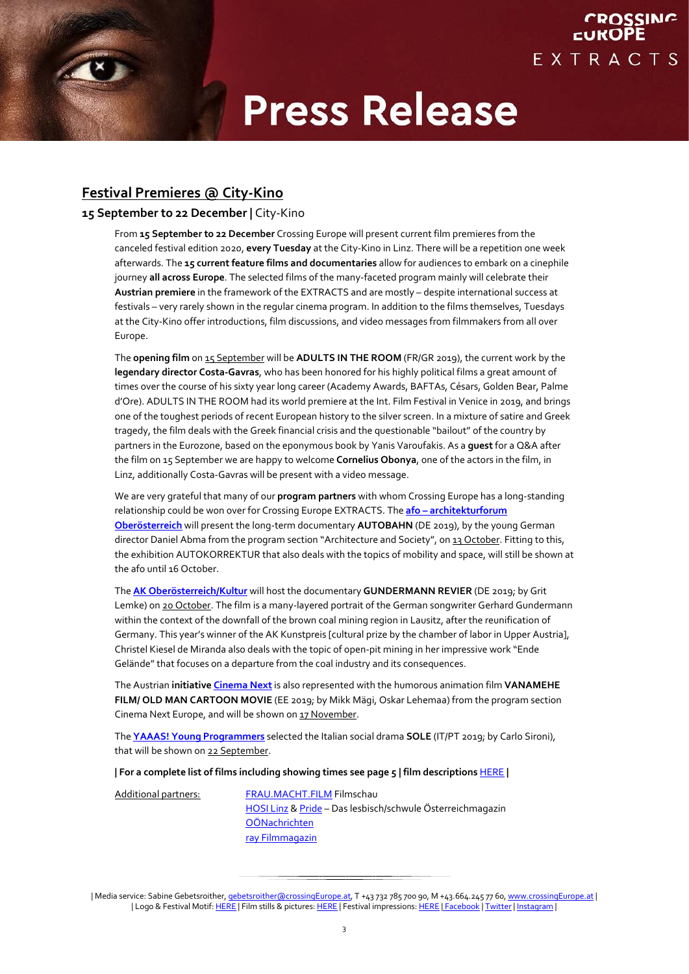CROSSING

EXTRACTS

### **Festival Premieres @ City-Kino**

### **15 September to 22 December |** City-Kino

From **15 September to 22 December** Crossing Europe will present current film premieres from the canceled festival edition 2020, **every Tuesday** at the City-Kino in Linz. There will be a repetition one week afterwards. The **15 current feature films and documentaries** allow for audiences to embark on a cinephile journey **all across Europe**. The selected films of the many-faceted program mainly will celebrate their **Austrian premiere** in the framework of the EXTRACTS and are mostly – despite international success at festivals – very rarely shown in the regular cinema program. In addition to the films themselves, Tuesdays at the City-Kino offer introductions, film discussions, and video messages from filmmakers from all over Europe.

The **opening film** on 15 September will be **ADULTS IN THE ROOM** (FR/GR 2019), the current work by the **legendary director Costa-Gavras**, who has been honored for his highly political films a great amount of times over the course of his sixty year long career (Academy Awards, BAFTAs, Césars, Golden Bear, Palme d'Ore). ADULTS IN THE ROOM had its world premiere at the Int. Film Festival in Venice in 2019, and brings one of the toughest periods of recent European history to the silver screen. In a mixture of satire and Greek tragedy, the film deals with the Greek financial crisis and the questionable "bailout" of the country by partners in the Eurozone, based on the eponymous book by Yanis Varoufakis. As a **guest** for a Q&A after the film on 15 September we are happy to welcome **Cornelius Obonya**, one of the actors in the film, in Linz, additionally Costa-Gavras will be present with a video message.

We are very grateful that many of our **program partners** with whom Crossing Europe has a long-standing relationship could be won over for Crossing Europe EXTRACTS. The **afo – [architekturforum](https://afo.at/)  [Oberösterreich](https://afo.at/)** will present the long-term documentary **AUTOBAHN** (DE 2019), by the young German director Daniel Abma from the program section "Architecture and Society", on 13 October. Fitting to this, the exhibition AUTOKORREKTUR that also deals with the topics of mobility and space, will still be shown at the afo until 16 October.

The **[AK Oberösterreich/Kultur](https://ooe.arbeiterkammer.at/kultur)** will host the documentary **GUNDERMANN REVIER** (DE 2019; by Grit Lemke) on 20 October. The film is a many-layered portrait of the German songwriter Gerhard Gundermann within the context of the downfall of the brown coal mining region in Lausitz, after the reunification of Germany. This year's winner of the AK Kunstpreis [cultural prize by the chamber of labor in Upper Austria], Christel Kiesel de Miranda also deals with the topic of open-pit mining in her impressive work "Ende Gelände" that focuses on a departure from the coal industry and its consequences.

The Austrian **initiative [Cinema Next](http://www.cinemanext.at/)** is also represented with the humorous animation film **VANAMEHE FILM/ OLD MAN CARTOON MOVIE** (EE 2019; by Mikk Mägi, Oskar Lehemaa) from the program section Cinema Next Europe, and will be shown on 17 November.

The **[YAAAS! Young Programmers](https://www.crossingeurope.at/programm/yaaas-jugendschiene/yaaas-young-programmers.html)** selected the Italian social drama **SOLE** (IT/PT 2019; by Carlo Sironi), that will be shown on 22 September.

#### **| For a complete list of films including showing times see page 5 | film descriptions** [HERE](https://www.crossingeurope.at/uploads/media/pressetexte/CE_2020/CE20-EX-Festivalpremieren-im-City-Kino_Filmbeschreibungen.pdf) **|**

Additional partners: [FRAU.MACHT.FILM](https://www.moviemento.at/?site=content&c=655) Filmschau [HOSI Linz](https://www.hosilinz.at/) [& Pride](http://www.pride.at/) – Das lesbisch/schwule Österreichmagazin [OÖNachrichten](http://www.nachrichten.at/) [ray Filmmagazin](https://ray-magazin.at/)

<sup>|</sup> Media service: Sabine Gebetsroither, *gebetsroither@crossingEurope.at*, T +43 732 785 700 90, M +43.664.245 77 60[, www.crossingEurope.at](http://www.crossingeurope.at/) | | Logo & Festival Motif[: HERE](https://www.flickr.com/photos/crossingeurope/collections/) | Film stills & pictures: HERE | Festival impressions: HERE | [Facebook](http://www.facebook.com/crossingeurope) | [Twitter](http://www.twitter.com/CROSSINGEUROPE) | [Instagram](http://www.instagram.com/crossingeurope/) |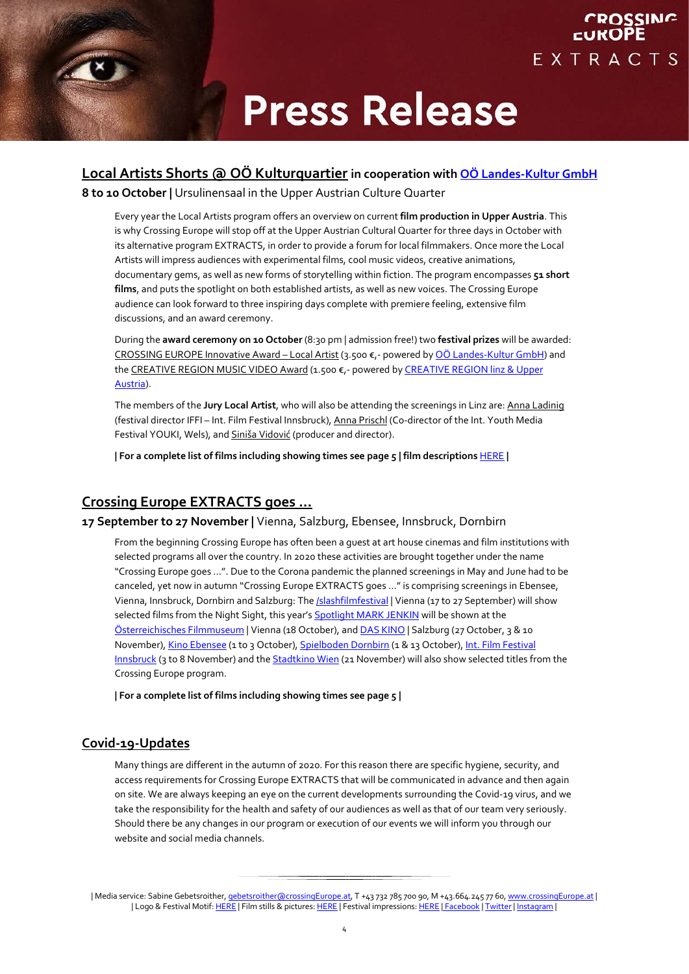

### **Local Artists Shorts @ OÖ Kulturquartier in cooperation with OÖ Landes-Kultur GmbH**

**8 to 10 October |** Ursulinensaal in the Upper Austrian Culture Quarter

Every year the Local Artists program offers an overview on current **film production in Upper Austria**. This is why Crossing Europe will stop off at the Upper Austrian Cultural Quarter for three days in October with its alternative program EXTRACTS, in order to provide a forum for local filmmakers. Once more the Local Artists will impress audiences with experimental films, cool music videos, creative animations, documentary gems, as well as new forms of storytelling within fiction. The program encompasses **51 short films**, and puts the spotlight on both established artists, as well as new voices. The Crossing Europe audience can look forward to three inspiring days complete with premiere feeling, extensive film discussions, and an award ceremony.

During the **award ceremony on 10 October** (8:30 pm | admission free!) two **festival prizes** will be awarded: CROSSING EUROPE Innovative Award - Local Artist (3.500 €,- powered by OÖ Landes-Kultur GmbH) and the CREATIVE REGION MUSIC VIDEO Award (1.500 €,- powered by CREATIVE REGION linz & Upper Austria).

The members of the **Jury Local Artist**, who will also be attending the screenings in Linz are: Anna Ladinig (festival director IFFI - Int. Film Festival Innsbruck), Anna Prischl (Co-director of the Int. Youth Media Festival YOUKI, Wels), and Siniša Vidović (producer and director).

**| For a complete list of films including showing times see page 5 | film descriptions** [HERE](https://www.crossingeurope.at/uploads/media/pressetexte/CE_2020/CE20-EX-Local-Artists-Shorts_Filmbeschreibungen.pdf) **|**

## **Crossing Europe EXTRACTS goes …**

#### **17 September to 27 November |** Vienna, Salzburg, Ebensee, Innsbruck, Dornbirn

From the beginning Crossing Europe has often been a guest at art house cinemas and film institutions with selected programs all over the country. In 2020 these activities are brought together under the name "Crossing Europe goes ...". Due to the Corona pandemic the planned screenings in May and June had to be canceled, yet now in autumn "Crossing Europe EXTRACTS goes …" is comprising screenings in Ebensee, Vienna, Innsbruck, Dornbirn and Salzburg: Th[e /slashfilmfestival](http://www.slashfilmfestival.com/) | Vienna (17 to 27 September) will show selected films from the Night Sight, this year's **Spotlight MARK JENKIN** will be shown at the [Österreichisches Filmmuseum](http://www.filmmuseum.at/) | Vienna (18 October), an[d DAS KINO](http://www.daskino.at/) | Salzburg (27 October, 3 & 10 November)[, Kino Ebensee](http://www.kino-ebensee.at/) (1 to 3 October), [Spielboden Dornbirn](http://www.spielboden.at/) (1 & 13 October), Int. Film Festival [Innsbruck](https://iffi.at/) (3 to 8 November) and the [Stadtkino Wien](http://www.stadtkinowien.at/) (21 November) will also show selected titles from the Crossing Europe program.

**| For a complete list of films including showing times see page 5 |** 

### **Covid-19-Updates**

Many things are different in the autumn of 2020. For this reason there are specific hygiene, security, and access requirements for Crossing Europe EXTRACTS that will be communicated in advance and then again on site. We are always keeping an eye on the current developments surrounding the Covid-19 virus, and we take the responsibility for the health and safety of our audiences as well as that of our team very seriously. Should there be any changes in our program or execution of our events we will inform you through our website and social media channels.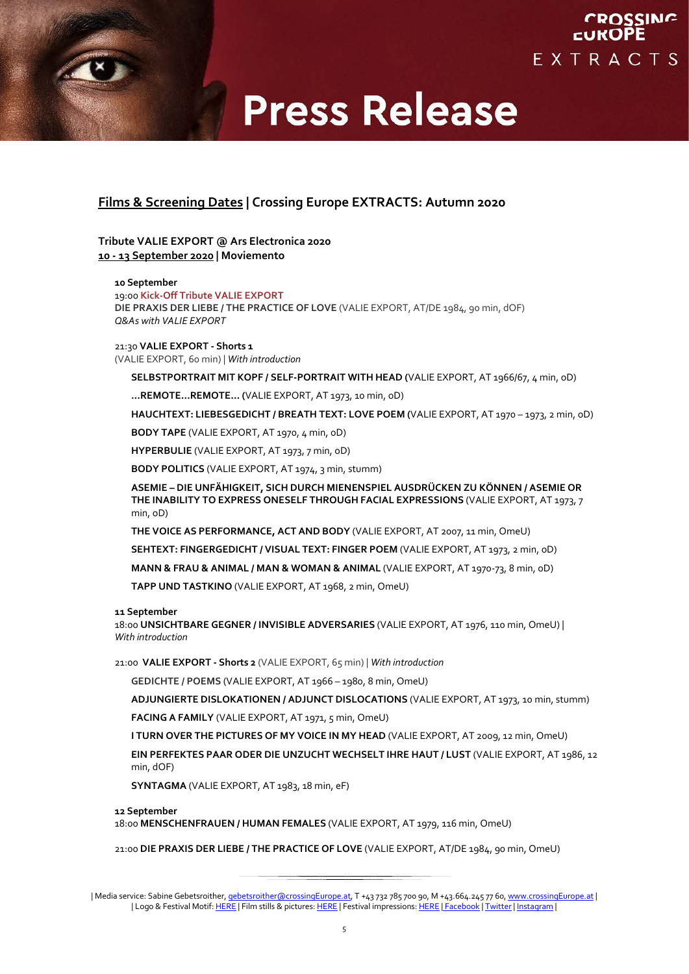

### **Films & Screening Dates | Crossing Europe EXTRACTS: Autumn 2020**

**Tribute VALIE EXPORT @ Ars Electronica 2020 10 - 13 September 2020 | Moviemento**

#### **10 September**

19:00 **Kick-Off Tribute VALIE EXPORT DIE PRAXIS DER LIEBE / THE PRACTICE OF LOVE** (VALIE EXPORT, AT/DE 1984, 90 min, dOF) *Q&As with VALIE EXPORT*

#### 21:30 **VALIE EXPORT - Shorts 1**

(VALIE EXPORT, 60 min) | *With introduction*

**SELBSTPORTRAIT MIT KOPF / SELF-PORTRAIT WITH HEAD (**VALIE EXPORT, AT 1966/67, 4 min, oD)

**...REMOTE…REMOTE… (**VALIE EXPORT, AT 1973, 10 min, oD)

**HAUCHTEXT: LIEBESGEDICHT / BREATH TEXT: LOVE POEM (**VALIE EXPORT, AT 1970 – 1973, 2 min, oD)

**BODY TAPE** (VALIE EXPORT, AT 1970, 4 min, oD)

**HYPERBULIE** (VALIE EXPORT, AT 1973, 7 min, oD)

**BODY POLITICS** (VALIE EXPORT, AT 1974, 3 min, stumm)

**ASEMIE – DIE UNFÄHIGKEIT, SICH DURCH MIENENSPIEL AUSDRÜCKEN ZU KÖNNEN / ASEMIE OR THE INABILITY TO EXPRESS ONESELF THROUGH FACIAL EXPRESSIONS** (VALIE EXPORT, AT 1973, 7 min, oD)

**THE VOICE AS PERFORMANCE, ACT AND BODY** (VALIE EXPORT, AT 2007, 11 min, OmeU)

**SEHTEXT: FINGERGEDICHT / VISUAL TEXT: FINGER POEM** (VALIE EXPORT, AT 1973, 2 min, oD)

**MANN & FRAU & ANIMAL / MAN & WOMAN & ANIMAL** (VALIE EXPORT, AT 1970-73, 8 min, oD)

**TAPP UND TASTKINO** (VALIE EXPORT, AT 1968, 2 min, OmeU)

#### **11 September**

18:00 **UNSICHTBARE GEGNER / INVISIBLE ADVERSARIES** (VALIE EXPORT, AT 1976, 110 min, OmeU) | *With introduction*

21:00 **VALIE EXPORT - Shorts 2** (VALIE EXPORT, 65 min) | *With introduction*

**GEDICHTE / POEMS** (VALIE EXPORT, AT 1966 – 1980, 8 min, OmeU)

**ADJUNGIERTE DISLOKATIONEN / ADJUNCT DISLOCATIONS** (VALIE EXPORT, AT 1973, 10 min, stumm)

**FACING A FAMILY** (VALIE EXPORT, AT 1971, 5 min, OmeU)

**I TURN OVER THE PICTURES OF MY VOICE IN MY HEAD** (VALIE EXPORT, AT 2009, 12 min, OmeU)

**EIN PERFEKTES PAAR ODER DIE UNZUCHT WECHSELT IHRE HAUT / LUST** (VALIE EXPORT, AT 1986, 12 min, dOF)

**SYNTAGMA** (VALIE EXPORT, AT 1983, 18 min, eF)

#### **12 September**

18:00 **MENSCHENFRAUEN / HUMAN FEMALES** (VALIE EXPORT, AT 1979, 116 min, OmeU)

21:00 **DIE PRAXIS DER LIEBE / THE PRACTICE OF LOVE** (VALIE EXPORT, AT/DE 1984, 90 min, OmeU)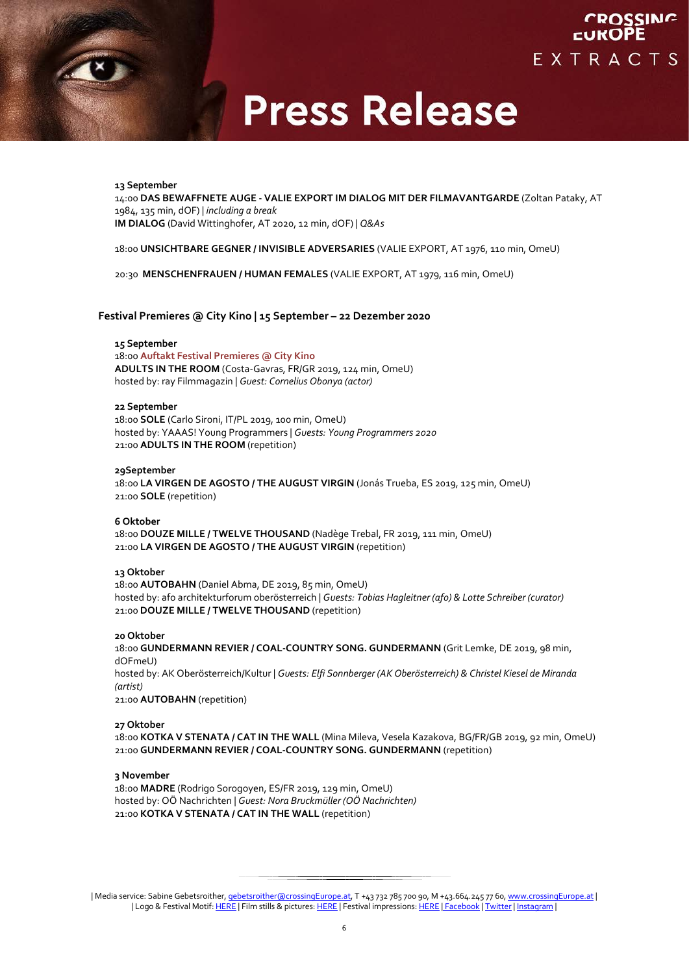

#### **13 September**

14:00 **DAS BEWAFFNETE AUGE - VALIE EXPORT IM DIALOG MIT DER FILMAVANTGARDE** (Zoltan Pataky, AT 1984, 135 min, dOF) *| including a break* **IM DIALOG** (David Wittinghofer, AT 2020, 12 min, dOF) | *Q&As*

18:00 **UNSICHTBARE GEGNER / INVISIBLE ADVERSARIES** (VALIE EXPORT, AT 1976, 110 min, OmeU)

20:30 **MENSCHENFRAUEN / HUMAN FEMALES** (VALIE EXPORT, AT 1979, 116 min, OmeU)

#### **Festival Premieres @ City Kino | 15 September – 22 Dezember 2020**

#### **15 September**

18:00 **Auftakt Festival Premieres @ City Kino ADULTS IN THE ROOM** (Costa-Gavras, FR/GR 2019, 124 min, OmeU) hosted by: ray Filmmagazin | *Guest: Cornelius Obonya (actor)*

#### **22 September**

18:00 **SOLE** (Carlo Sironi, IT/PL 2019, 100 min, OmeU) hosted by: YAAAS! Young Programmers | *Guests: Young Programmers 2020* 21:00 **ADULTS IN THE ROOM** (repetition)

#### **29September**

18:00 **LA VIRGEN DE AGOSTO / THE AUGUST VIRGIN** (Jonás Trueba, ES 2019, 125 min, OmeU) 21:00 **SOLE** (repetition)

**6 Oktober** 18:00 **DOUZE MILLE / TWELVE THOUSAND** (Nadège Trebal, FR 2019, 111 min, OmeU) 21:00 **LA VIRGEN DE AGOSTO / THE AUGUST VIRGIN** (repetition)

#### **13 Oktober**

18:00 **AUTOBAHN** (Daniel Abma, DE 2019, 85 min, OmeU) hosted by: afo architekturforum oberösterreich | *Guests: Tobias Hagleitner (afo) & Lotte Schreiber (curator)* 21:00 **DOUZE MILLE / TWELVE THOUSAND** (repetition)

#### **20 Oktober**

18:00 **GUNDERMANN REVIER / COAL-COUNTRY SONG. GUNDERMANN** (Grit Lemke, DE 2019, 98 min, dOFmeU) hosted by: AK Oberösterreich/Kultur | *Guests: Elfi Sonnberger (AK Oberösterreich) & Christel Kiesel de Miranda (artist)* 21:00 **AUTOBAHN** (repetition)

#### **27 Oktober**

18:00 **KOTKA V STENATA / CAT IN THE WALL** (Mina Mileva, Vesela Kazakova, BG/FR/GB 2019, 92 min, OmeU) 21:00 **GUNDERMANN REVIER / COAL-COUNTRY SONG. GUNDERMANN** (repetition)

#### **3 November**

18:00 **MADRE** (Rodrigo Sorogoyen, ES/FR 2019, 129 min, OmeU) hosted by: OÖ Nachrichten | *Guest: Nora Bruckmüller (OÖ Nachrichten)* 21:00 **KOTKA V STENATA / CAT IN THE WALL** (repetition)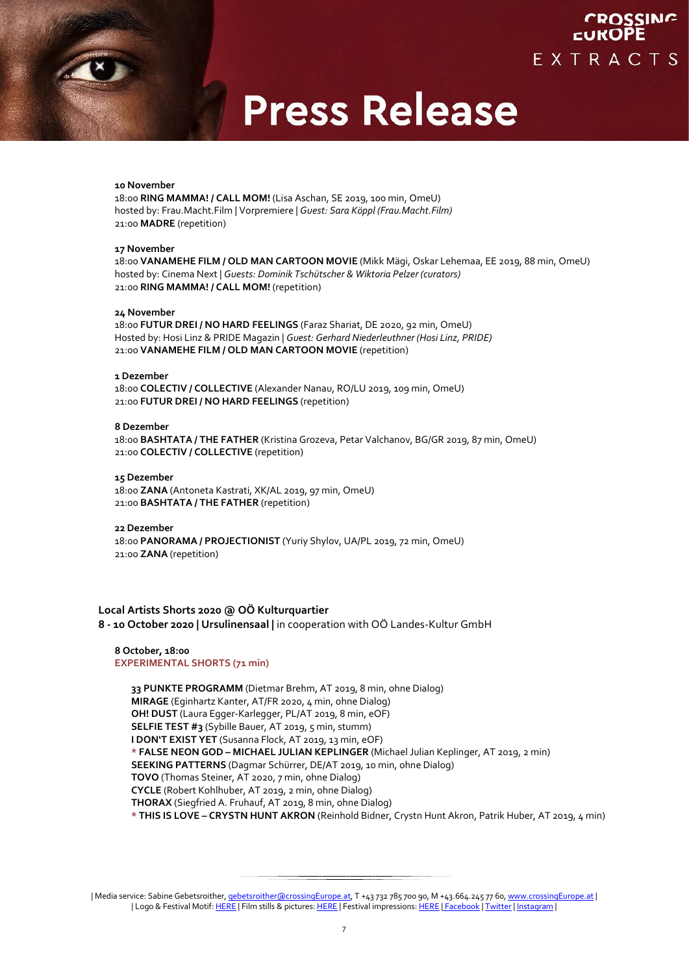#### **10 November**

18:00 **RING MAMMA! / CALL MOM!** (Lisa Aschan, SE 2019, 100 min, OmeU) hosted by: Frau.Macht.Film | Vorpremiere | *Guest: Sara Köppl (Frau.Macht.Film)* 21:00 **MADRE** (repetition)

#### **17 November**

18:00 **VANAMEHE FILM / OLD MAN CARTOON MOVIE** (Mikk Mägi, Oskar Lehemaa, EE 2019, 88 min, OmeU) hosted by: Cinema Next | *Guests: Dominik Tschütscher & Wiktoria Pelzer (curators)* 21:00 **RING MAMMA! / CALL MOM!** (repetition)

#### **24 November**

18:00 **FUTUR DREI / NO HARD FEELINGS** (Faraz Shariat, DE 2020, 92 min, OmeU) Hosted by: Hosi Linz & PRIDE Magazin | *Guest: Gerhard Niederleuthner (Hosi Linz, PRIDE)* 21:00 **VANAMEHE FILM / OLD MAN CARTOON MOVIE** (repetition)

#### **1 Dezember**

18:00 **COLECTIV / COLLECTIVE** (Alexander Nanau, RO/LU 2019, 109 min, OmeU) 21:00 **FUTUR DREI / NO HARD FEELINGS** (repetition)

#### **8 Dezember**

18:00 **BASHTATA / THE FATHER** (Kristina Grozeva, Petar Valchanov, BG/GR 2019, 87 min, OmeU) 21:00 **COLECTIV / COLLECTIVE** (repetition)

#### **15 Dezember**

18:00 **ZANA** (Antoneta Kastrati, XK/AL 2019, 97 min, OmeU) 21:00 **BASHTATA / THE FATHER** (repetition)

#### **22 Dezember**

18:00 **PANORAMA / PROJECTIONIST** (Yuriy Shylov, UA/PL 2019, 72 min, OmeU) 21:00 **ZANA** (repetition)

#### **Local Artists Shorts 2020 @ OÖ Kulturquartier 8 - 10 October 2020 | Ursulinensaal |** in cooperation with OÖ Landes-Kultur GmbH

#### **8 October, 18:00 EXPERIMENTAL SHORTS (71 min)**

**33 PUNKTE PROGRAMM** (Dietmar Brehm, AT 2019, 8 min, ohne Dialog) **MIRAGE** (Eginhartz Kanter, AT/FR 2020, 4 min, ohne Dialog) **OH! DUST** (Laura Egger-Karlegger, PL/AT 2019, 8 min, eOF) **SELFIE TEST #3** (Sybille Bauer, AT 2019, 5 min, stumm) **I DON'T EXIST YET** (Susanna Flock, AT 2019, 13 min, eOF) **\* FALSE NEON GOD – MICHAEL JULIAN KEPLINGER** (Michael Julian Keplinger, AT 2019, 2 min) **SEEKING PATTERNS** (Dagmar Schürrer, DE/AT 2019, 10 min, ohne Dialog) **TOVO** (Thomas Steiner, AT 2020, 7 min, ohne Dialog) **CYCLE** (Robert Kohlhuber, AT 2019, 2 min, ohne Dialog) **THORAX** (Siegfried A. Fruhauf, AT 2019, 8 min, ohne Dialog) **\* THIS IS LOVE – CRYSTN HUNT AKRON** (Reinhold Bidner, Crystn Hunt Akron, Patrik Huber, AT 2019, 4 min)

<sup>|</sup> Media service: Sabine Gebetsroither, *gebetsroither@crossingEurope.at*, T +43 732 785 700 90, M +43.664.245 77 60[, www.crossingEurope.at](http://www.crossingeurope.at/) | | Logo & Festival Motif[: HERE](https://www.flickr.com/photos/crossingeurope/collections/) | Film stills & pictures: HERE | Festival impressions: HERE | [Facebook](http://www.facebook.com/crossingeurope) | [Twitter](http://www.twitter.com/CROSSINGEUROPE) | [Instagram](http://www.instagram.com/crossingeurope/) |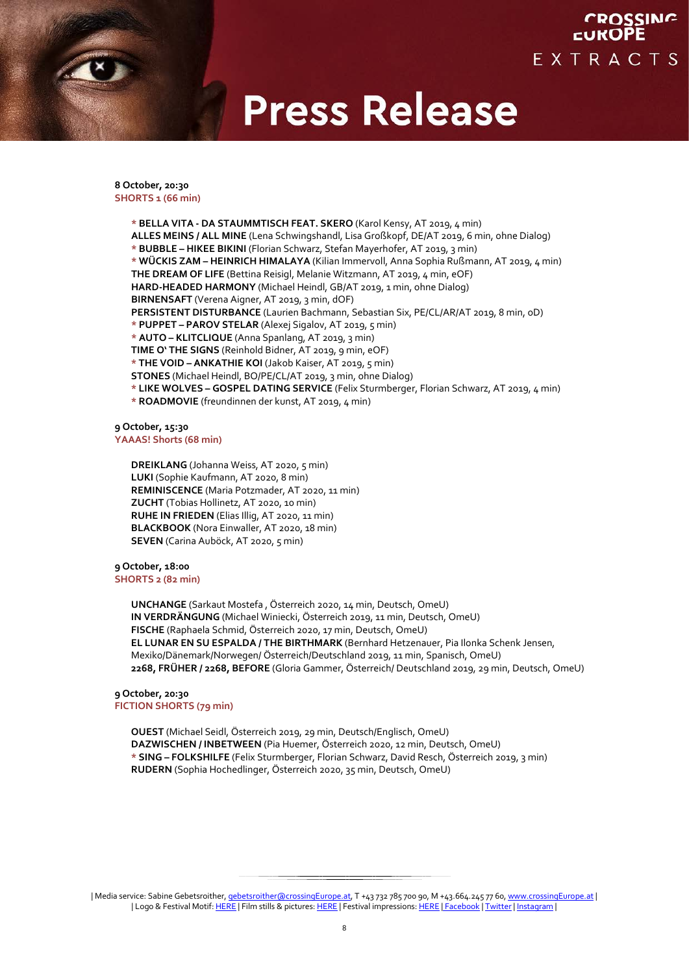## CROSSING **CUKOPE** EXTRACTS

# **Press Release**

#### **8 October, 20:30 SHORTS 1 (66 min)**

**\* BELLA VITA - DA STAUMMTISCH FEAT. SKERO** (Karol Kensy, AT 2019, 4 min) **ALLES MEINS / ALL MINE** (Lena Schwingshandl, Lisa Großkopf, DE/AT 2019, 6 min, ohne Dialog) **\* BUBBLE – HIKEE BIKINI** (Florian Schwarz, Stefan Mayerhofer, AT 2019, 3 min) **\* WÜCKIS ZAM – HEINRICH HIMALAYA** (Kilian Immervoll, Anna Sophia Rußmann, AT 2019, 4 min) **THE DREAM OF LIFE** (Bettina Reisigl, Melanie Witzmann, AT 2019, 4 min, eOF) **HARD-HEADED HARMONY** (Michael Heindl, GB/AT 2019, 1 min, ohne Dialog) **BIRNENSAFT** (Verena Aigner, AT 2019, 3 min, dOF) **PERSISTENT DISTURBANCE** (Laurien Bachmann, Sebastian Six, PE/CL/AR/AT 2019, 8 min, oD) **\* PUPPET – PAROV STELAR** (Alexej Sigalov, AT 2019, 5 min) **\* AUTO – KLITCLIQUE** (Anna Spanlang, AT 2019, 3 min) **TIME O' THE SIGNS** (Reinhold Bidner, AT 2019, 9 min, eOF) **\* THE VOID – ANKATHIE KOI** (Jakob Kaiser, AT 2019, 5 min) **STONES** (Michael Heindl, BO/PE/CL/AT 2019, 3 min, ohne Dialog) **\* LIKE WOLVES – GOSPEL DATING SERVICE** (Felix Sturmberger, Florian Schwarz, AT 2019, 4 min) **\* ROADMOVIE** (freundinnen der kunst, AT 2019, 4 min)

### **9 October, 15:30**

**YAAAS! Shorts (68 min)**

**DREIKLANG** (Johanna Weiss, AT 2020, 5 min) **LUKI** (Sophie Kaufmann, AT 2020, 8 min) **REMINISCENCE** (Maria Potzmader, AT 2020, 11 min) **ZUCHT** (Tobias Hollinetz, AT 2020, 10 min) **RUHE IN FRIEDEN** (Elias Illig, AT 2020, 11 min) **BLACKBOOK** (Nora Einwaller, AT 2020, 18 min) **SEVEN** (Carina Auböck, AT 2020, 5 min)

#### **9 October, 18:00**

### **SHORTS 2 (82 min)**

**UNCHANGE** (Sarkaut Mostefa , Österreich 2020, 14 min, Deutsch, OmeU) **IN VERDRÄNGUNG** (Michael Winiecki, Österreich 2019, 11 min, Deutsch, OmeU) **FISCHE** (Raphaela Schmid, Österreich 2020, 17 min, Deutsch, OmeU) **EL LUNAR EN SU ESPALDA / THE BIRTHMARK** (Bernhard Hetzenauer, Pia Ilonka Schenk Jensen, Mexiko/Dänemark/Norwegen/ Österreich/Deutschland 2019, 11 min, Spanisch, OmeU) **2268, FRÜHER / 2268, BEFORE** (Gloria Gammer, Österreich/ Deutschland 2019, 29 min, Deutsch, OmeU)

## **9 October, 20:30**

**FICTION SHORTS (79 min)**

**OUEST** (Michael Seidl, Österreich 2019, 29 min, Deutsch/Englisch, OmeU) **DAZWISCHEN / INBETWEEN** (Pia Huemer, Österreich 2020, 12 min, Deutsch, OmeU) **\* SING – FOLKSHILFE** (Felix Sturmberger, Florian Schwarz, David Resch, Österreich 2019, 3 min) **RUDERN** (Sophia Hochedlinger, Österreich 2020, 35 min, Deutsch, OmeU)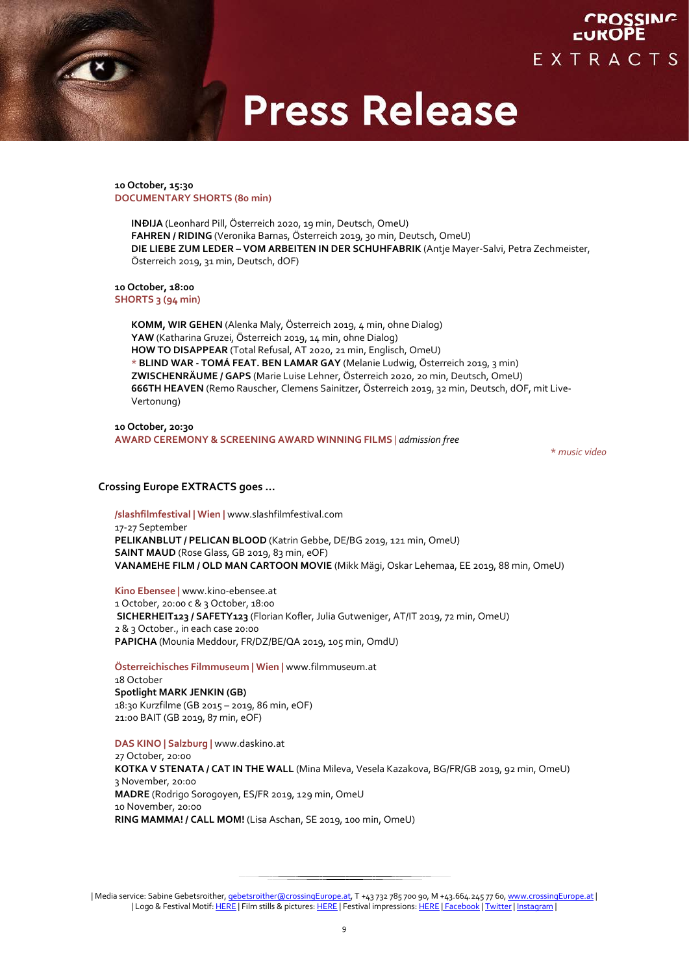**10 October, 15:30 DOCUMENTARY SHORTS (80 min)**

> **INÐIJA** (Leonhard Pill, Österreich 2020, 19 min, Deutsch, OmeU) **FAHREN / RIDING** (Veronika Barnas, Österreich 2019, 30 min, Deutsch, OmeU) **DIE LIEBE ZUM LEDER – VOM ARBEITEN IN DER SCHUHFABRIK** (Antje Mayer-Salvi, Petra Zechmeister, Österreich 2019, 31 min, Deutsch, dOF)

**10 October, 18:00 SHORTS 3 (94 min)**

> **KOMM, WIR GEHEN** (Alenka Maly, Österreich 2019, 4 min, ohne Dialog) **YAW** (Katharina Gruzei, Österreich 2019, 14 min, ohne Dialog) **HOW TO DISAPPEAR** (Total Refusal, AT 2020, 21 min, Englisch, OmeU) \* **BLIND WAR - TOMÁ FEAT. BEN LAMAR GAY** (Melanie Ludwig, Österreich 2019, 3 min) **ZWISCHENRÄUME / GAPS** (Marie Luise Lehner, Österreich 2020, 20 min, Deutsch, OmeU) **666TH HEAVEN** (Remo Rauscher, Clemens Sainitzer, Österreich 2019, 32 min, Deutsch, dOF, mit Live-Vertonung)

**10 October, 20:30 AWARD CEREMONY & SCREENING AWARD WINNING FILMS** *| admission free*

\* *music video*

### **Crossing Europe EXTRACTS goes …**

**/slashfilmfestival | Wien |** www.slashfilmfestival.com 17-27 September **PELIKANBLUT / PELICAN BLOOD** (Katrin Gebbe, DE/BG 2019, 121 min, OmeU) **SAINT MAUD** (Rose Glass, GB 2019, 83 min, eOF) **VANAMEHE FILM / OLD MAN CARTOON MOVIE** (Mikk Mägi, Oskar Lehemaa, EE 2019, 88 min, OmeU)

**Kino Ebensee |** www.kino-ebensee.at 1 October, 20:00 c & 3 October, 18:00 **SICHERHEIT123 / SAFETY123** (Florian Kofler, Julia Gutweniger, AT/IT 2019, 72 min, OmeU) 2 & 3 October., in each case 20:00 **PAPICHA** (Mounia Meddour, FR/DZ/BE/QA 2019, 105 min, OmdU)

**Österreichisches Filmmuseum | Wien |** www.filmmuseum.at 18 October **Spotlight MARK JENKIN (GB)**  18:30 Kurzfilme (GB 2015 – 2019, 86 min, eOF) 21:00 BAIT (GB 2019, 87 min, eOF)

**DAS KINO | Salzburg |** www.daskino.at 27 October, 20:00 **KOTKA V STENATA / CAT IN THE WALL** (Mina Mileva, Vesela Kazakova, BG/FR/GB 2019, 92 min, OmeU) 3 November, 20:00 **MADRE** (Rodrigo Sorogoyen, ES/FR 2019, 129 min, OmeU 10 November, 20:00 **RING MAMMA! / CALL MOM!** (Lisa Aschan, SE 2019, 100 min, OmeU)